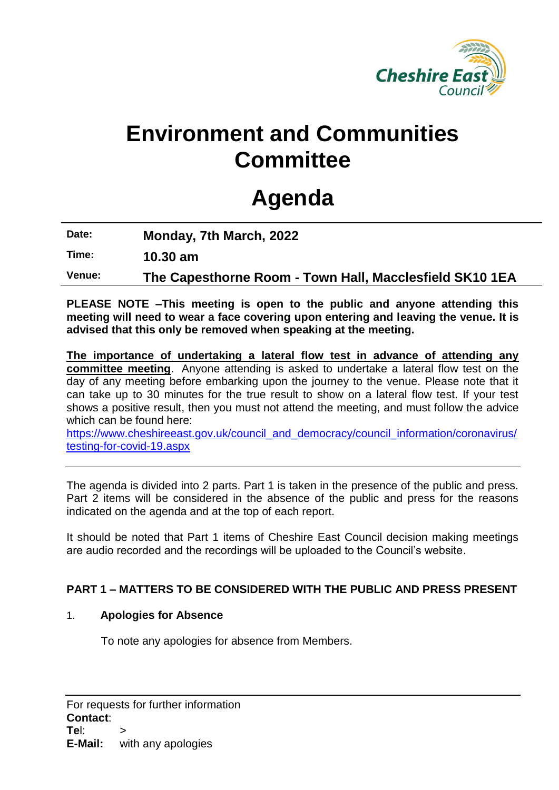

## **Environment and Communities Committee**

# **Agenda**

**Date: Monday, 7th March, 2022**

**Time: 10.30 am**

**Venue: The Capesthorne Room - Town Hall, Macclesfield SK10 1EA**

**PLEASE NOTE –This meeting is open to the public and anyone attending this meeting will need to wear a face covering upon entering and leaving the venue. It is advised that this only be removed when speaking at the meeting.**

**The importance of undertaking a lateral flow test in advance of attending any committee meeting**. Anyone attending is asked to undertake a lateral flow test on the day of any meeting before embarking upon the journey to the venue. Please note that it can take up to 30 minutes for the true result to show on a lateral flow test. If your test shows a positive result, then you must not attend the meeting, and must follow the advice which can be found here:

[https://www.cheshireeast.gov.uk/council\\_and\\_democracy/council\\_information/coronavirus/](https://www.cheshireeast.gov.uk/council_and_democracy/council_information/coronavirus/testing-for-covid-19.aspx) [testing-for-covid-19.aspx](https://www.cheshireeast.gov.uk/council_and_democracy/council_information/coronavirus/testing-for-covid-19.aspx)

The agenda is divided into 2 parts. Part 1 is taken in the presence of the public and press. Part 2 items will be considered in the absence of the public and press for the reasons indicated on the agenda and at the top of each report.

It should be noted that Part 1 items of Cheshire East Council decision making meetings are audio recorded and the recordings will be uploaded to the Council's website.

## **PART 1 – MATTERS TO BE CONSIDERED WITH THE PUBLIC AND PRESS PRESENT**

## 1. **Apologies for Absence**

To note any apologies for absence from Members.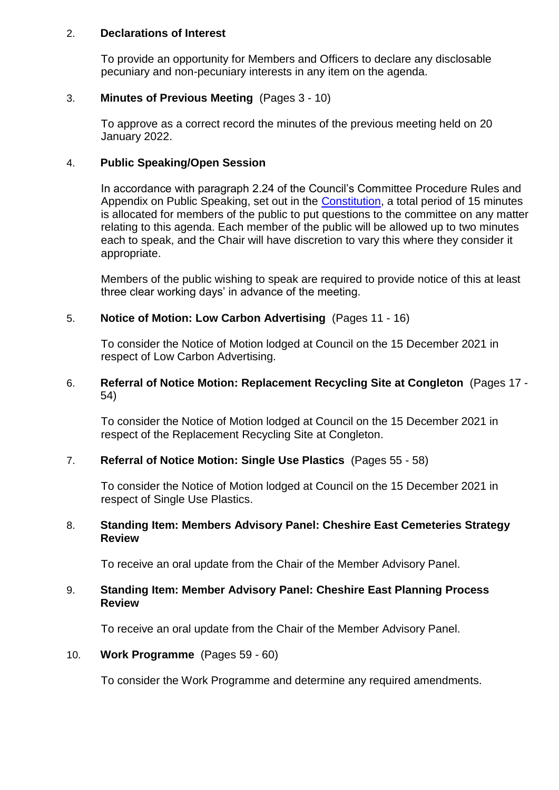#### 2. **Declarations of Interest**

To provide an opportunity for Members and Officers to declare any disclosable pecuniary and non-pecuniary interests in any item on the agenda.

## 3. **Minutes of Previous Meeting** (Pages 3 - 10)

To approve as a correct record the minutes of the previous meeting held on 20 January 2022.

## 4. **Public Speaking/Open Session**

In accordance with paragraph 2.24 of the Council's Committee Procedure Rules and Appendix on Public Speaking, set out in the [Constitution,](https://www.cheshireeast.gov.uk/council_and_democracy/your_council/constitution.aspx) a total period of 15 minutes is allocated for members of the public to put questions to the committee on any matter relating to this agenda. Each member of the public will be allowed up to two minutes each to speak, and the Chair will have discretion to vary this where they consider it appropriate.

Members of the public wishing to speak are required to provide notice of this at least three clear working days' in advance of the meeting.

## 5. **Notice of Motion: Low Carbon Advertising** (Pages 11 - 16)

To consider the Notice of Motion lodged at Council on the 15 December 2021 in respect of Low Carbon Advertising.

#### 6. **Referral of Notice Motion: Replacement Recycling Site at Congleton** (Pages 17 - 54)

To consider the Notice of Motion lodged at Council on the 15 December 2021 in respect of the Replacement Recycling Site at Congleton.

## 7. **Referral of Notice Motion: Single Use Plastics** (Pages 55 - 58)

To consider the Notice of Motion lodged at Council on the 15 December 2021 in respect of Single Use Plastics.

## 8. **Standing Item: Members Advisory Panel: Cheshire East Cemeteries Strategy Review**

To receive an oral update from the Chair of the Member Advisory Panel.

## 9. **Standing Item: Member Advisory Panel: Cheshire East Planning Process Review**

To receive an oral update from the Chair of the Member Advisory Panel.

## 10. **Work Programme** (Pages 59 - 60)

To consider the Work Programme and determine any required amendments.